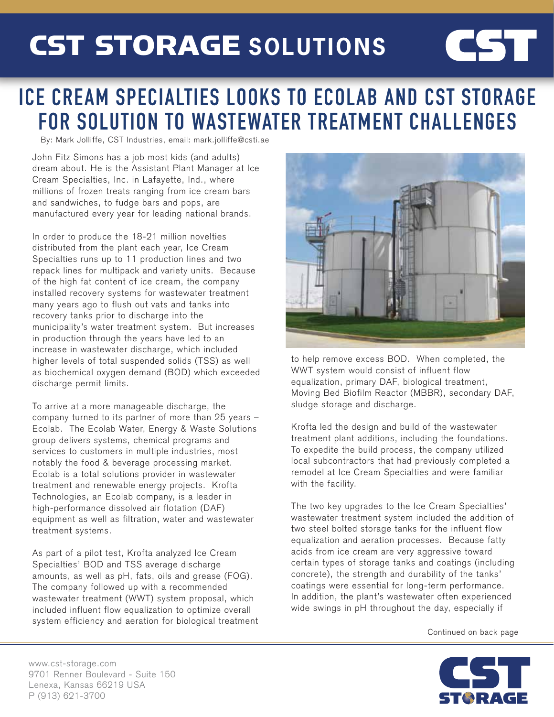## CST STORAGE **SOLUTIONS**

## ICE CREAM SPECIALTIES LOOKS TO ECOLAB AND CST STORAGE FOR SOLUTION TO WASTEWATER TREATMENT CHALLENGES

By: Mark Jolliffe, CST Industries, email: mark.jolliffe@csti.ae

John Fitz Simons has a job most kids (and adults) dream about. He is the Assistant Plant Manager at Ice Cream Specialties, Inc. in Lafayette, Ind., where millions of frozen treats ranging from ice cream bars and sandwiches, to fudge bars and pops, are manufactured every year for leading national brands.

In order to produce the 18-21 million novelties distributed from the plant each year, Ice Cream Specialties runs up to 11 production lines and two repack lines for multipack and variety units. Because of the high fat content of ice cream, the company installed recovery systems for wastewater treatment many years ago to flush out vats and tanks into recovery tanks prior to discharge into the municipality's water treatment system. But increases in production through the years have led to an increase in wastewater discharge, which included higher levels of total suspended solids (TSS) as well as biochemical oxygen demand (BOD) which exceeded discharge permit limits.

To arrive at a more manageable discharge, the company turned to its partner of more than 25 years – Ecolab. The Ecolab Water, Energy & Waste Solutions group delivers systems, chemical programs and services to customers in multiple industries, most notably the food & beverage processing market. Ecolab is a total solutions provider in wastewater treatment and renewable energy projects. Krofta Technologies, an Ecolab company, is a leader in high-performance dissolved air flotation (DAF) equipment as well as filtration, water and wastewater treatment systems.

As part of a pilot test, Krofta analyzed Ice Cream Specialties' BOD and TSS average discharge amounts, as well as pH, fats, oils and grease (FOG). The company followed up with a recommended wastewater treatment (WWT) system proposal, which included influent flow equalization to optimize overall system efficiency and aeration for biological treatment



CST

to help remove excess BOD. When completed, the WWT system would consist of influent flow equalization, primary DAF, biological treatment, Moving Bed Biofilm Reactor (MBBR), secondary DAF, sludge storage and discharge.

Krofta led the design and build of the wastewater treatment plant additions, including the foundations. To expedite the build process, the company utilized local subcontractors that had previously completed a remodel at Ice Cream Specialties and were familiar with the facility.

The two key upgrades to the Ice Cream Specialties' wastewater treatment system included the addition of two steel bolted storage tanks for the influent flow equalization and aeration processes. Because fatty acids from ice cream are very aggressive toward certain types of storage tanks and coatings (including concrete), the strength and durability of the tanks' coatings were essential for long-term performance. In addition, the plant's wastewater often experienced wide swings in pH throughout the day, especially if

Continued on back page



www.cst-storage.com 9701 Renner Boulevard - Suite 150 Lenexa, Kansas 66219 USA P (913) 621-3700